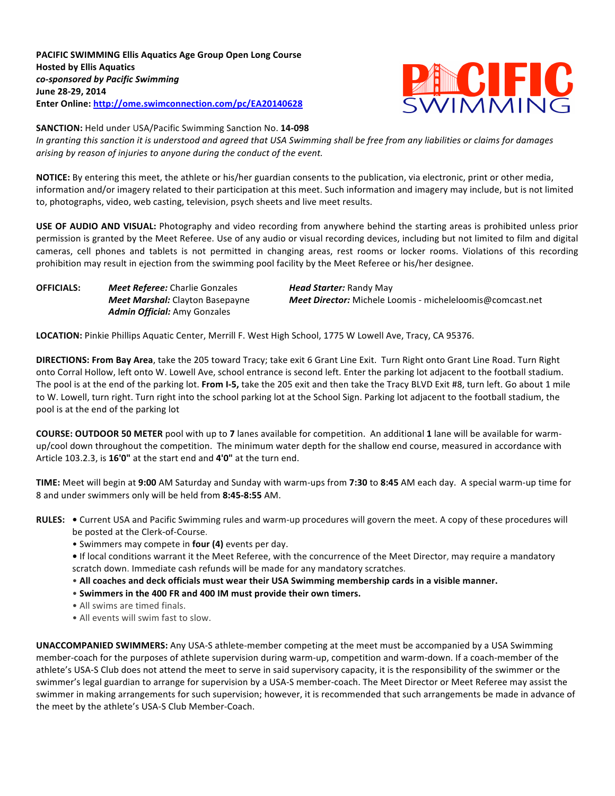

**SANCTION:** Held under USA/Pacific Swimming Sanction No. 14-098

In granting this sanction it is understood and agreed that USA Swimming shall be free from any liabilities or claims for damages arising by reason of injuries to anyone during the conduct of the event.

**NOTICE:** By entering this meet, the athlete or his/her guardian consents to the publication, via electronic, print or other media, information and/or imagery related to their participation at this meet. Such information and imagery may include, but is not limited to, photographs, video, web casting, television, psych sheets and live meet results.

**USE OF AUDIO AND VISUAL:** Photography and video recording from anywhere behind the starting areas is prohibited unless prior permission is granted by the Meet Referee. Use of any audio or visual recording devices, including but not limited to film and digital cameras, cell phones and tablets is not permitted in changing areas, rest rooms or locker rooms. Violations of this recording prohibition may result in ejection from the swimming pool facility by the Meet Referee or his/her designee.

**OFFICIALS:** *Meet Referee:* Charlie Gonzales *Head Starter:* Randy May *Admin Official:* Amy Gonzales

**Meet Marshal:** Clayton Basepayne **Meet Director:** Michele Loomis - micheleloomis@comcast.net

LOCATION: Pinkie Phillips Aquatic Center, Merrill F. West High School, 1775 W Lowell Ave, Tracy, CA 95376.

**DIRECTIONS: From Bay Area**, take the 205 toward Tracy; take exit 6 Grant Line Exit. Turn Right onto Grant Line Road. Turn Right onto Corral Hollow, left onto W. Lowell Ave, school entrance is second left. Enter the parking lot adjacent to the football stadium. The pool is at the end of the parking lot. From I-5, take the 205 exit and then take the Tracy BLVD Exit #8, turn left. Go about 1 mile to W. Lowell, turn right. Turn right into the school parking lot at the School Sign. Parking lot adjacent to the football stadium, the pool is at the end of the parking lot

**COURSE: OUTDOOR 50 METER** pool with up to 7 lanes available for competition. An additional 1 lane will be available for warmup/cool down throughout the competition. The minimum water depth for the shallow end course, measured in accordance with Article 103.2.3, is 16'0" at the start end and 4'0" at the turn end.

**TIME:** Meet will begin at 9:00 AM Saturday and Sunday with warm-ups from 7:30 to 8:45 AM each day. A special warm-up time for 8 and under swimmers only will be held from 8:45-8:55 AM.

- RULES: . Current USA and Pacific Swimming rules and warm-up procedures will govern the meet. A copy of these procedures will be posted at the Clerk-of-Course.
	- Swimmers may compete in **four (4)** events per day.
	- If local conditions warrant it the Meet Referee, with the concurrence of the Meet Director, may require a mandatory scratch down. Immediate cash refunds will be made for any mandatory scratches.
	- All coaches and deck officials must wear their USA Swimming membership cards in a visible manner.
	- Swimmers in the 400 FR and 400 IM must provide their own timers.
	- All swims are timed finals.
	- All events will swim fast to slow.

**UNACCOMPANIED SWIMMERS:** Any USA-S athlete-member competing at the meet must be accompanied by a USA Swimming member-coach for the purposes of athlete supervision during warm-up, competition and warm-down. If a coach-member of the athlete's USA-S Club does not attend the meet to serve in said supervisory capacity, it is the responsibility of the swimmer or the swimmer's legal guardian to arrange for supervision by a USA-S member-coach. The Meet Director or Meet Referee may assist the swimmer in making arrangements for such supervision; however, it is recommended that such arrangements be made in advance of the meet by the athlete's USA-S Club Member-Coach.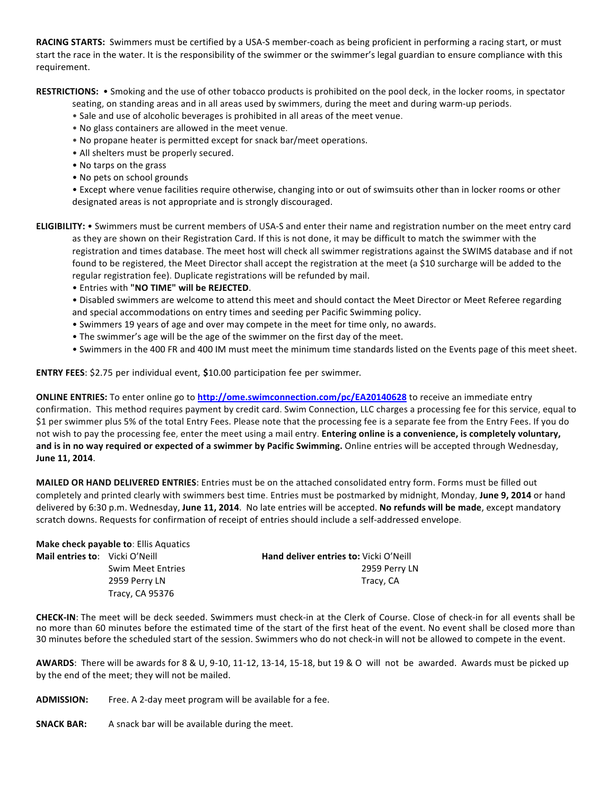**RACING STARTS:** Swimmers must be certified by a USA-S member-coach as being proficient in performing a racing start, or must start the race in the water. It is the responsibility of the swimmer or the swimmer's legal guardian to ensure compliance with this requirement.

RESTRICTIONS: . Smoking and the use of other tobacco products is prohibited on the pool deck, in the locker rooms, in spectator

seating, on standing areas and in all areas used by swimmers, during the meet and during warm-up periods.

- Sale and use of alcoholic beverages is prohibited in all areas of the meet venue.
- No glass containers are allowed in the meet venue.
- No propane heater is permitted except for snack bar/meet operations.
- All shelters must be properly secured.
- No tarps on the grass
- No pets on school grounds

• Except where venue facilities require otherwise, changing into or out of swimsuits other than in locker rooms or other designated areas is not appropriate and is strongly discouraged.

**ELIGIBILITY:** • Swimmers must be current members of USA-S and enter their name and registration number on the meet entry card as they are shown on their Registration Card. If this is not done, it may be difficult to match the swimmer with the registration and times database. The meet host will check all swimmer registrations against the SWIMS database and if not found to be registered, the Meet Director shall accept the registration at the meet (a \$10 surcharge will be added to the regular registration fee). Duplicate registrations will be refunded by mail.

• Entries with **"NO TIME" will be REJECTED**. 

• Disabled swimmers are welcome to attend this meet and should contact the Meet Director or Meet Referee regarding and special accommodations on entry times and seeding per Pacific Swimming policy.

- Swimmers 19 years of age and over may compete in the meet for time only, no awards.
- The swimmer's age will be the age of the swimmer on the first day of the meet.
- Swimmers in the 400 FR and 400 IM must meet the minimum time standards listed on the Events page of this meet sheet.

**ENTRY FEES**: \$2.75 per individual event, **\$**10.00 participation fee per swimmer.

**ONLINE ENTRIES:** To enter online go to **http://ome.swimconnection.com/pc/EA20140628** to receive an immediate entry confirmation. This method requires payment by credit card. Swim Connection, LLC charges a processing fee for this service, equal to \$1 per swimmer plus 5% of the total Entry Fees. Please note that the processing fee is a separate fee from the Entry Fees. If you do not wish to pay the processing fee, enter the meet using a mail entry. **Entering online is a convenience, is completely voluntary,** and is in no way required or expected of a swimmer by Pacific Swimming. Online entries will be accepted through Wednesday, **June 11, 2014**.

**MAILED OR HAND DELIVERED ENTRIES**: Entries must be on the attached consolidated entry form. Forms must be filled out completely and printed clearly with swimmers best time. Entries must be postmarked by midnight, Monday, June 9, 2014 or hand delivered by 6:30 p.m. Wednesday, June 11, 2014. No late entries will be accepted. No refunds will be made, except mandatory scratch downs. Requests for confirmation of receipt of entries should include a self-addressed envelope.

|                                       | Make check payable to: Ellis Aquatics |                                        |
|---------------------------------------|---------------------------------------|----------------------------------------|
| <b>Mail entries to:</b> Vicki O'Neill |                                       | Hand deliver entries to: Vicki O'Neill |
|                                       | <b>Swim Meet Entries</b>              | 2959 Perry LN                          |
|                                       | 2959 Perry LN                         | Tracy, CA                              |
|                                       | Tracy, CA 95376                       |                                        |

**CHECK-IN:** The meet will be deck seeded. Swimmers must check-in at the Clerk of Course. Close of check-in for all events shall be no more than 60 minutes before the estimated time of the start of the first heat of the event. No event shall be closed more than 30 minutes before the scheduled start of the session. Swimmers who do not check-in will not be allowed to compete in the event.

AWARDS: There will be awards for 8 & U, 9-10, 11-12, 13-14, 15-18, but 19 & O will not be awarded. Awards must be picked up by the end of the meet; they will not be mailed.

**ADMISSION:** Free. A 2-day meet program will be available for a fee.

**SNACK BAR:** A snack bar will be available during the meet.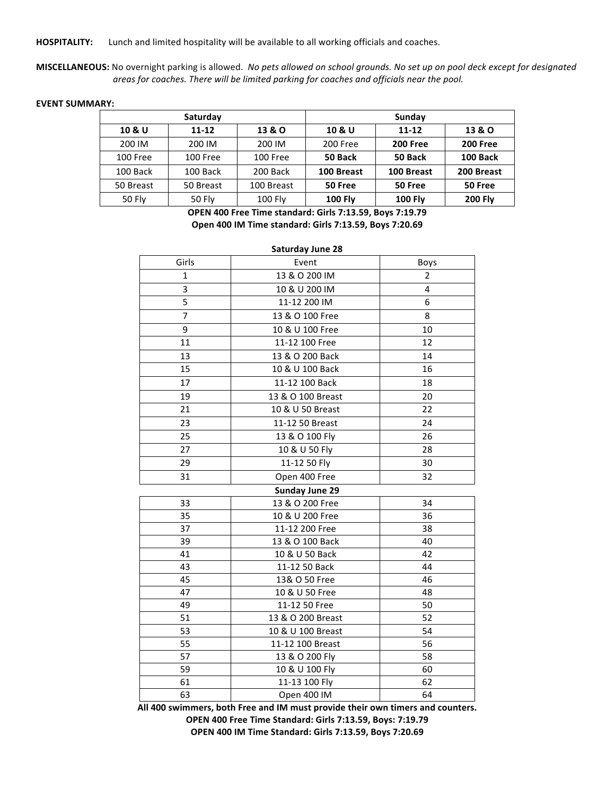HOSPITALITY: Lunch and limited hospitality will be available to all working officials and coaches.

MISCELLANEOUS: No overnight parking is allowed. No pets allowed on school grounds. No set up on pool deck except for designated areas for coaches. There will be limited parking for coaches and officials near the pool.

**EVENT SUMMARY:** 

|           | Saturday      |            | Sunday         |                 |                 |  |  |
|-----------|---------------|------------|----------------|-----------------|-----------------|--|--|
| 10 & U    | $11 - 12$     | 13 & O     | 10 & U         | $11 - 12$       | 13 & O          |  |  |
| 200 IM    | 200 IM        | 200 IM     | 200 Free       | <b>200 Free</b> | <b>200 Free</b> |  |  |
| 100 Free  | 100 Free      | 100 Free   | 50 Back        | 50 Back         | 100 Back        |  |  |
| 100 Back  | 100 Back      | 200 Back   | 100 Breast     | 100 Breast      | 200 Breast      |  |  |
| 50 Breast | 50 Breast     | 100 Breast | 50 Free        | 50 Free         | 50 Free         |  |  |
| 50 Fly    | <b>50 Fly</b> | 100 Fly    | <b>100 Fly</b> | <b>100 Fly</b>  | <b>200 Fly</b>  |  |  |

**OPEN 400 Free Time standard: Girls 7:13.59, Boys 7:19.79 Open 400 IM Time standard: Girls 7:13.59, Boys 7:20.69**

| <b>Saturday June 28</b> |                       |                |  |  |  |  |  |  |
|-------------------------|-----------------------|----------------|--|--|--|--|--|--|
| Girls                   | Event                 | Boys           |  |  |  |  |  |  |
| 1                       | 13 & O 200 IM         | $\overline{2}$ |  |  |  |  |  |  |
| 3                       | 10 & U 200 IM         | 4              |  |  |  |  |  |  |
| 5                       | 11-12 200 IM          | 6              |  |  |  |  |  |  |
| $\overline{7}$          | 13 & O 100 Free       | 8              |  |  |  |  |  |  |
| 9                       | 10 & U 100 Free       | 10             |  |  |  |  |  |  |
| 11                      | 11-12 100 Free        | 12             |  |  |  |  |  |  |
| 13                      | 13 & O 200 Back       | 14             |  |  |  |  |  |  |
| 15                      | 10 & U 100 Back       | 16             |  |  |  |  |  |  |
| 17                      | 11-12 100 Back        | 18             |  |  |  |  |  |  |
| 19                      | 13 & O 100 Breast     | 20             |  |  |  |  |  |  |
| 21                      | 10 & U 50 Breast      | 22             |  |  |  |  |  |  |
| 23                      | 11-12 50 Breast       | 24             |  |  |  |  |  |  |
| 25                      | 13 & O 100 Fly        | 26             |  |  |  |  |  |  |
| 27                      | 10 & U 50 Fly         | 28             |  |  |  |  |  |  |
| 29                      | 11-12 50 Fly          | 30             |  |  |  |  |  |  |
| 31                      | Open 400 Free         | 32             |  |  |  |  |  |  |
|                         | <b>Sunday June 29</b> |                |  |  |  |  |  |  |
| 33                      | 13 & O 200 Free       | 34             |  |  |  |  |  |  |
| 35                      | 10 & U 200 Free       | 36             |  |  |  |  |  |  |
| 37                      | 11-12 200 Free        | 38             |  |  |  |  |  |  |
| 39                      | 13 & O 100 Back       | 40             |  |  |  |  |  |  |
| 41                      | 10 & U 50 Back        | 42             |  |  |  |  |  |  |
| 43                      | 11-12 50 Back         | 44             |  |  |  |  |  |  |
| 45                      | 13& O 50 Free         | 46             |  |  |  |  |  |  |
| 47                      | 10 & U 50 Free        | 48             |  |  |  |  |  |  |
| 49                      | 11-12 50 Free         | 50             |  |  |  |  |  |  |
| 51                      | 13 & O 200 Breast     | 52             |  |  |  |  |  |  |
| 53                      | 10 & U 100 Breast     | 54             |  |  |  |  |  |  |
| 55                      | 11-12 100 Breast      | 56             |  |  |  |  |  |  |
| 57                      | 13 & O 200 Fly        | 58             |  |  |  |  |  |  |
| 59                      | 10 & U 100 Fly        | 60             |  |  |  |  |  |  |
| 61                      | 11-13 100 Fly         | 62             |  |  |  |  |  |  |
| 63                      | Open 400 IM           | 64             |  |  |  |  |  |  |

All 400 swimmers, both Free and IM must provide their own timers and counters. **OPEN 400 Free Time Standard: Girls 7:13.59, Boys: 7:19.79 OPEN 400 IM Time Standard: Girls 7:13.59, Boys 7:20.69**